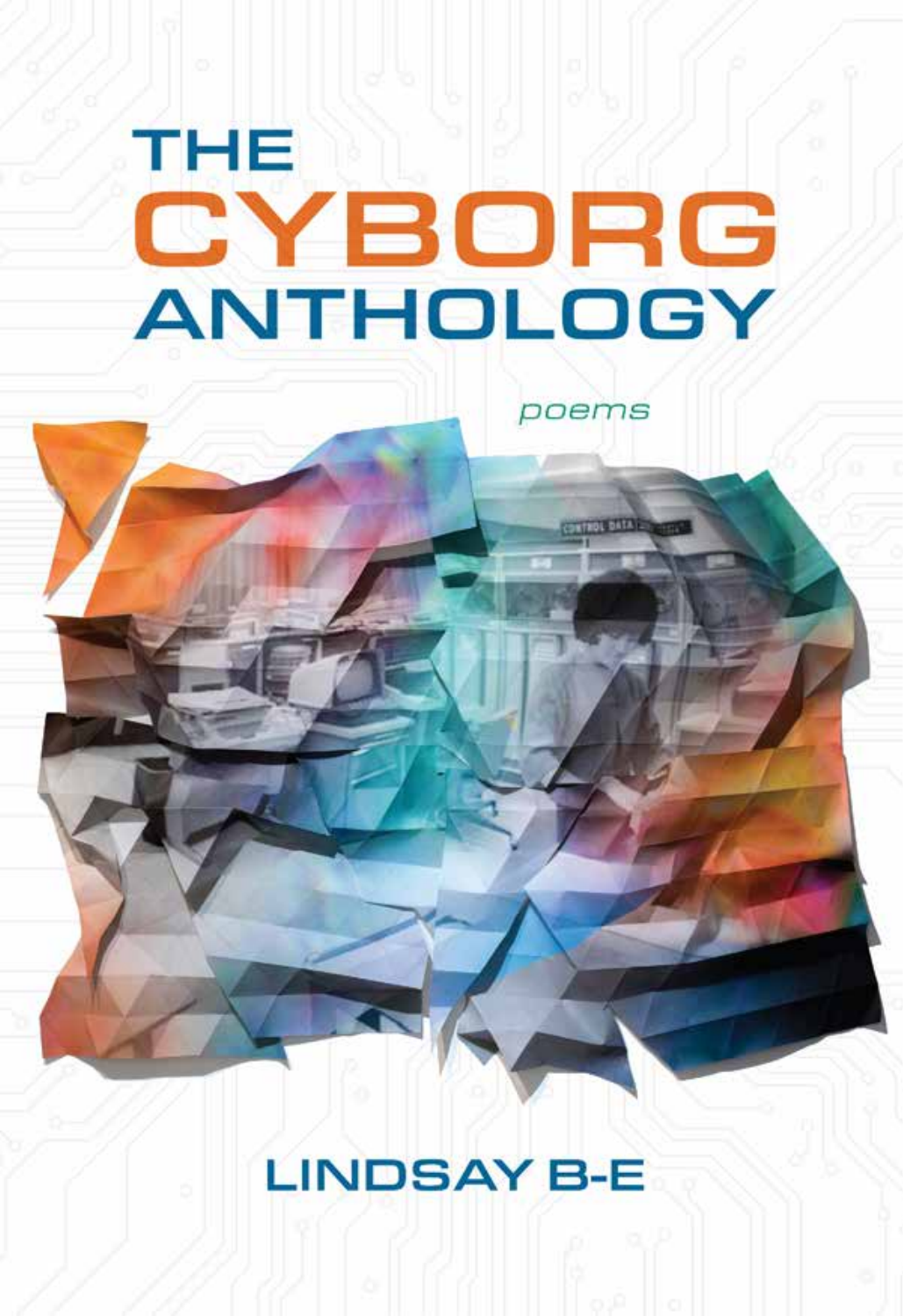# THE CYBORG **ANTHOLOGY**

poems

## **LINDSAY B-E**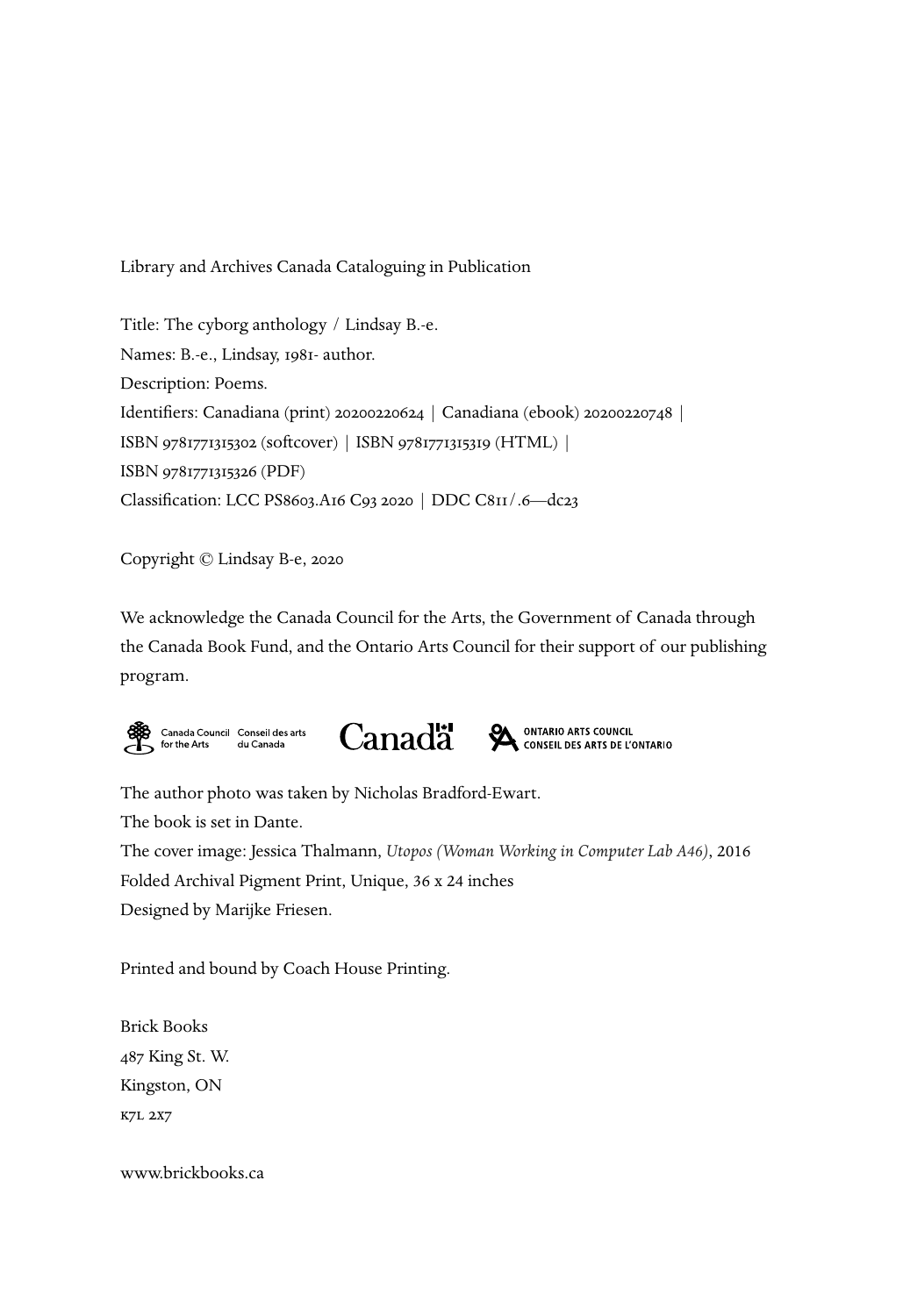Library and Archives Canada Cataloguing in Publication

Title: The cyborg anthology / Lindsay B.-e. Names: B.-e., Lindsay, 1981- author. Description: Poems. Identifiers: Canadiana (print) 20200220624 | Canadiana (ebook) 20200220748 | ISBN 9781771315302 (softcover) | ISBN 9781771315319 (HTML) | ISBN 9781771315326 (PDF) Classification: LCC PS8603.A16 C93 2020 | DDC C811/.6—dc23

Copyright © Lindsay B-e, 2020

We acknowledge the Canada Council for the Arts, the Government of Canada through the Canada Book Fund, and the Ontario Arts Council for their support of our publishing program.





ONTARIO ARTS COUNCIL<br>CONSEIL DES ARTS DE L'ONTARIO ⅍

The author photo was taken by Nicholas Bradford-Ewart. The book is set in Dante. The cover image: Jessica Thalmann, *Utopos (Woman Working in Computer Lab A46)*, 2016 Folded Archival Pigment Print, Unique, 36 x 24 inches Designed by Marijke Friesen.

Printed and bound by Coach House Printing.

Brick Books 487 King St. W. Kingston, ON k7l 2x7

www.brickbooks.ca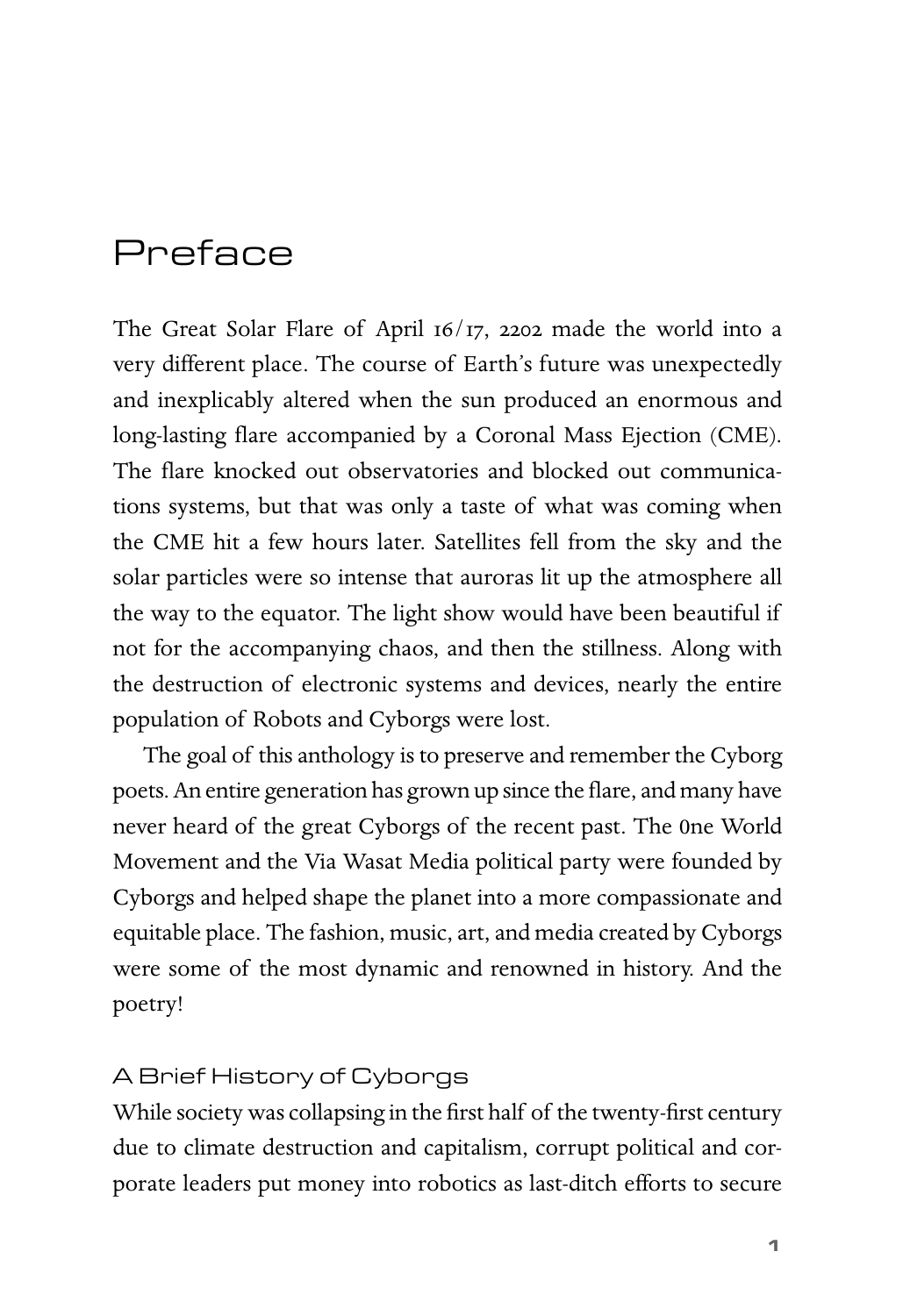## Preface

The Great Solar Flare of April 16/17, 2202 made the world into a very different place. The course of Earth's future was unexpectedly and inexplicably altered when the sun produced an enormous and long-lasting flare accompanied by a Coronal Mass Ejection (CME). The flare knocked out observatories and blocked out communications systems, but that was only a taste of what was coming when the CME hit a few hours later. Satellites fell from the sky and the solar particles were so intense that auroras lit up the atmosphere all the way to the equator. The light show would have been beautiful if not for the accompanying chaos, and then the stillness. Along with the destruction of electronic systems and devices, nearly the entire population of Robots and Cyborgs were lost.

The goal of this anthology is to preserve and remember the Cyborg poets. An entire generation has grown up since the flare, and many have never heard of the great Cyborgs of the recent past. The 0ne World Movement and the Via Wasat Media political party were founded by Cyborgs and helped shape the planet into a more compassionate and equitable place. The fashion, music, art, and media created by Cyborgs were some of the most dynamic and renowned in history. And the poetry!

#### A Brief History of Cyborgs

While society was collapsing in the first half of the twenty-first century due to climate destruction and capitalism, corrupt political and corporate leaders put money into robotics as last-ditch efforts to secure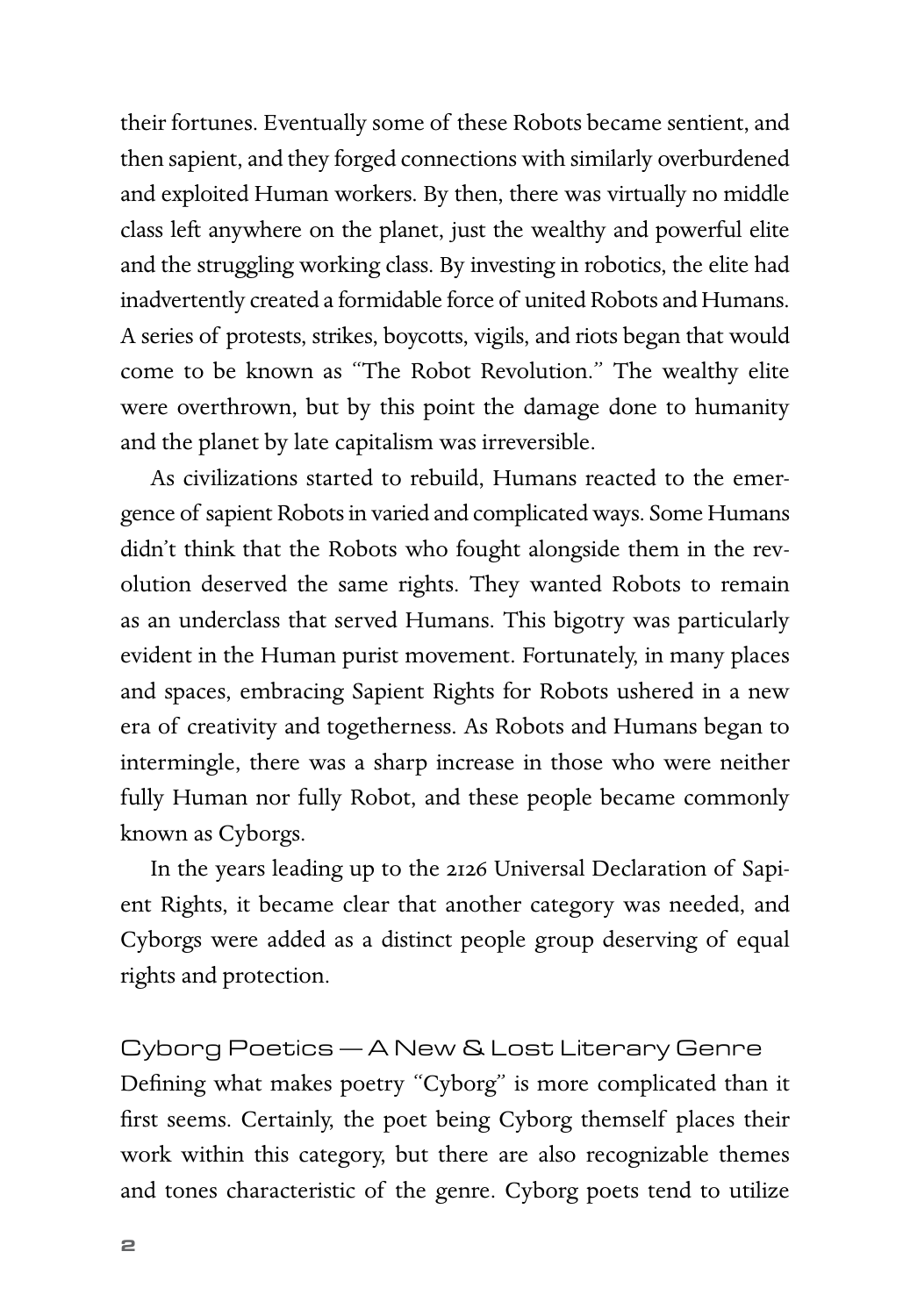their fortunes. Eventually some of these Robots became sentient, and then sapient, and they forged connections with similarly overburdened and exploited Human workers. By then, there was virtually no middle class left anywhere on the planet, just the wealthy and powerful elite and the struggling working class. By investing in robotics, the elite had inadvertently created a formidable force of united Robots and Humans. A series of protests, strikes, boycotts, vigils, and riots began that would come to be known as "The Robot Revolution." The wealthy elite were overthrown, but by this point the damage done to humanity and the planet by late capitalism was irreversible.

As civilizations started to rebuild, Humans reacted to the emergence of sapient Robots in varied and complicated ways. Some Humans didn't think that the Robots who fought alongside them in the revolution deserved the same rights. They wanted Robots to remain as an underclass that served Humans. This bigotry was particularly evident in the Human purist movement. Fortunately, in many places and spaces, embracing Sapient Rights for Robots ushered in a new era of creativity and togetherness. As Robots and Humans began to intermingle, there was a sharp increase in those who were neither fully Human nor fully Robot, and these people became commonly known as Cyborgs.

In the years leading up to the 2126 Universal Declaration of Sapient Rights, it became clear that another category was needed, and Cyborgs were added as a distinct people group deserving of equal rights and protection.

Cyborg Poetics — A New & Lost Literary Genre Defining what makes poetry "Cyborg" is more complicated than it first seems. Certainly, the poet being Cyborg themself places their work within this category, but there are also recognizable themes and tones characteristic of the genre. Cyborg poets tend to utilize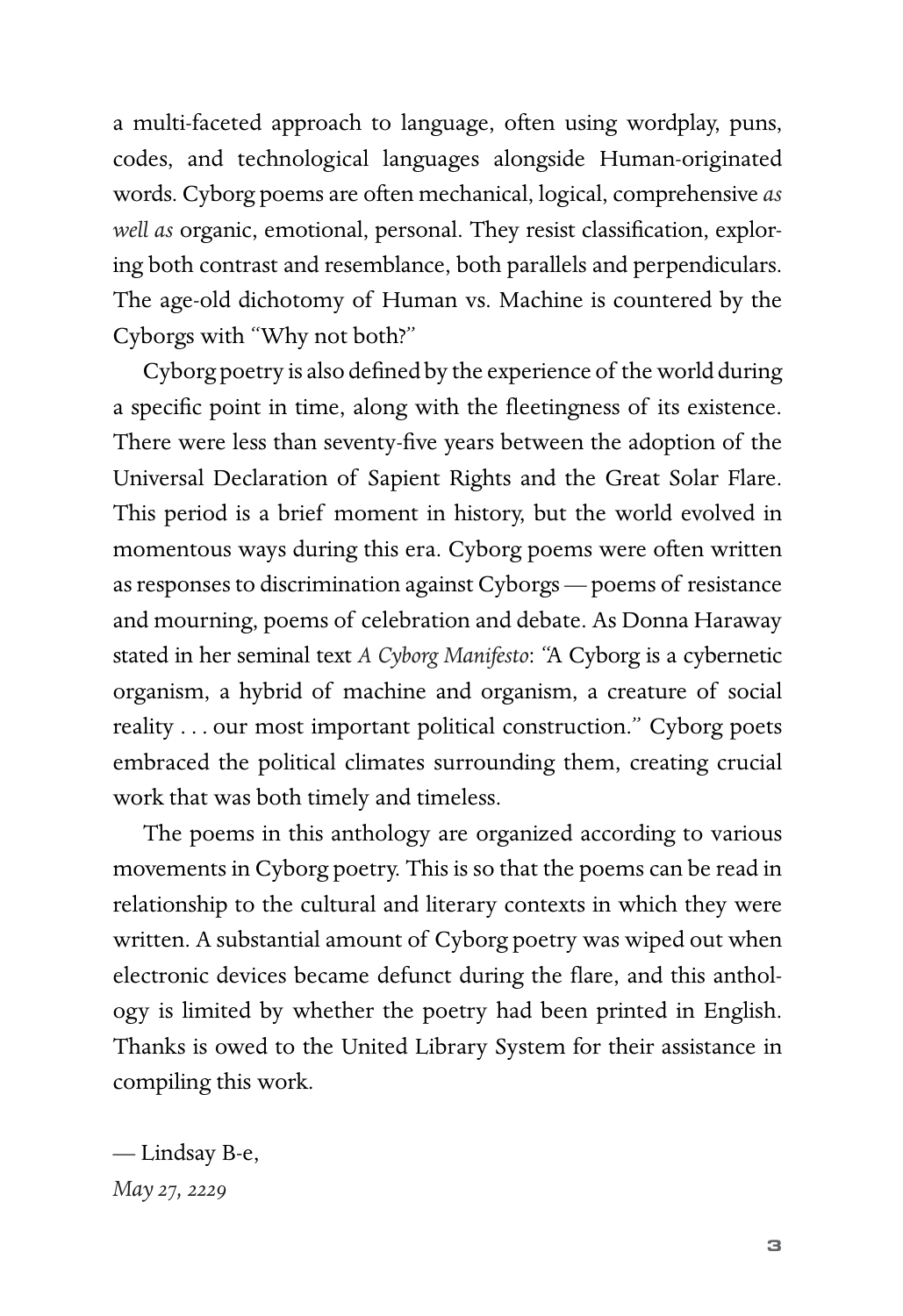a multi-faceted approach to language, often using wordplay, puns, codes, and technological languages alongside Human-originated words. Cyborg poems are often mechanical, logical, comprehensive *as well as* organic, emotional, personal. They resist classification, exploring both contrast and resemblance, both parallels and perpendiculars. The age-old dichotomy of Human vs. Machine is countered by the Cyborgs with "Why not both?"

Cyborg poetry is also defined by the experience of the world during a specific point in time, along with the fleetingness of its existence. There were less than seventy-five years between the adoption of the Universal Declaration of Sapient Rights and the Great Solar Flare. This period is a brief moment in history, but the world evolved in momentous ways during this era. Cyborg poems were often written as responses to discrimination against Cyborgs — poems of resistance and mourning, poems of celebration and debate. As Donna Haraway stated in her seminal text *A Cyborg Manifesto*: "A Cyborg is a cybernetic organism, a hybrid of machine and organism, a creature of social reality . . . our most important political construction." Cyborg poets embraced the political climates surrounding them, creating crucial work that was both timely and timeless.

The poems in this anthology are organized according to various movements in Cyborg poetry. This is so that the poems can be read in relationship to the cultural and literary contexts in which they were written. A substantial amount of Cyborg poetry was wiped out when electronic devices became defunct during the flare, and this anthology is limited by whether the poetry had been printed in English. Thanks is owed to the United Library System for their assistance in compiling this work.

— Lindsay B-e, *May 27, 2229*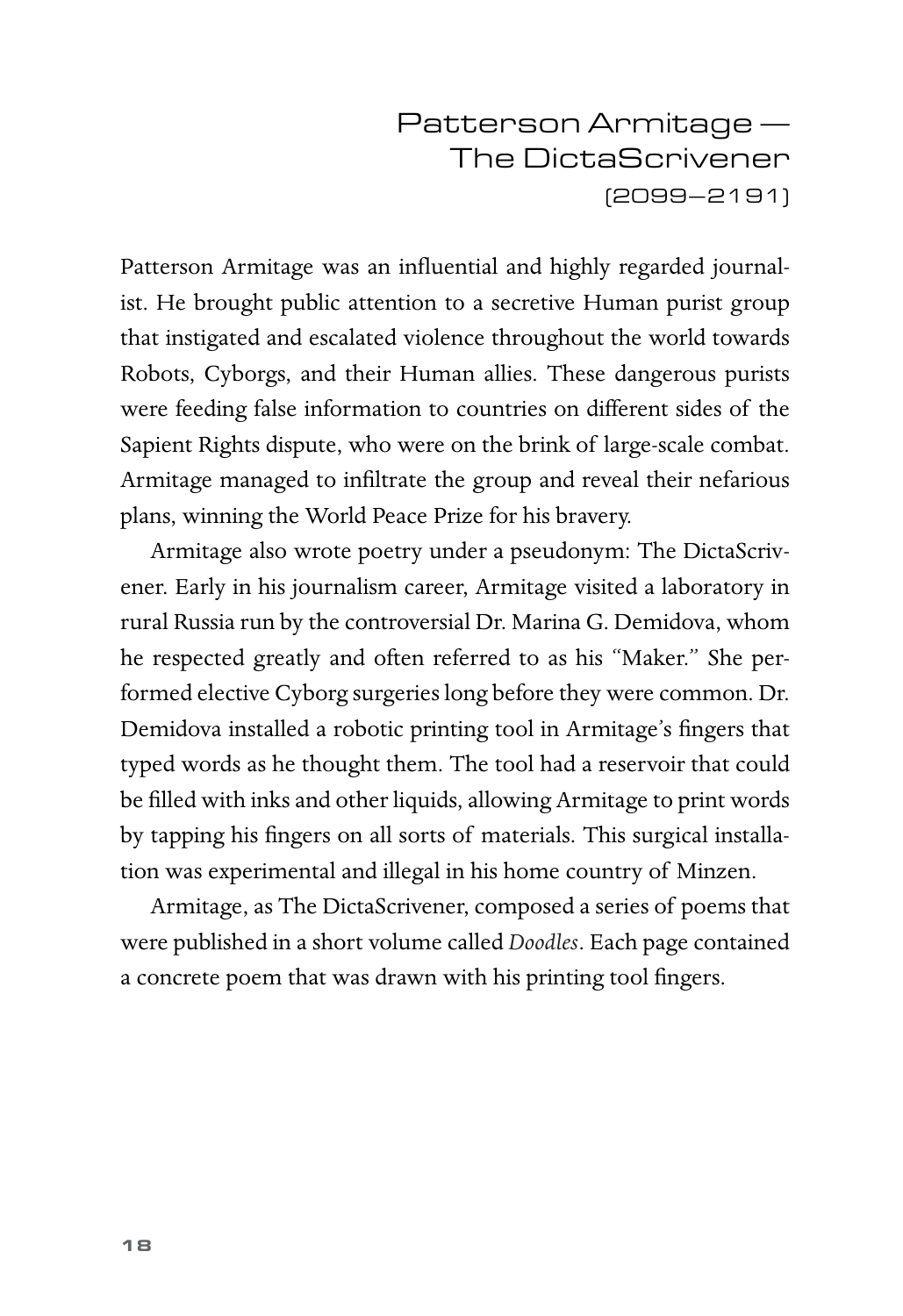### Patterson Armitage — The DictaScrivener (2099–2191)

Patterson Armitage was an influential and highly regarded journalist. He brought public attention to a secretive Human purist group that instigated and escalated violence throughout the world towards Robots, Cyborgs, and their Human allies. These dangerous purists were feeding false information to countries on different sides of the Sapient Rights dispute, who were on the brink of large-scale combat. Armitage managed to infiltrate the group and reveal their nefarious plans, winning the World Peace Prize for his bravery.

Armitage also wrote poetry under a pseudonym: The DictaScrivener. Early in his journalism career, Armitage visited a laboratory in rural Russia run by the controversial Dr. Marina G. Demidova, whom he respected greatly and often referred to as his "Maker." She performed elective Cyborg surgeries long before they were common. Dr. Demidova installed a robotic printing tool in Armitage's fingers that typed words as he thought them. The tool had a reservoir that could be filled with inks and other liquids, allowing Armitage to print words by tapping his fingers on all sorts of materials. This surgical installation was experimental and illegal in his home country of Minzen.

Armitage, as The DictaScrivener, composed a series of poems that were published in a short volume called *Doodles*. Each page contained a concrete poem that was drawn with his printing tool fingers.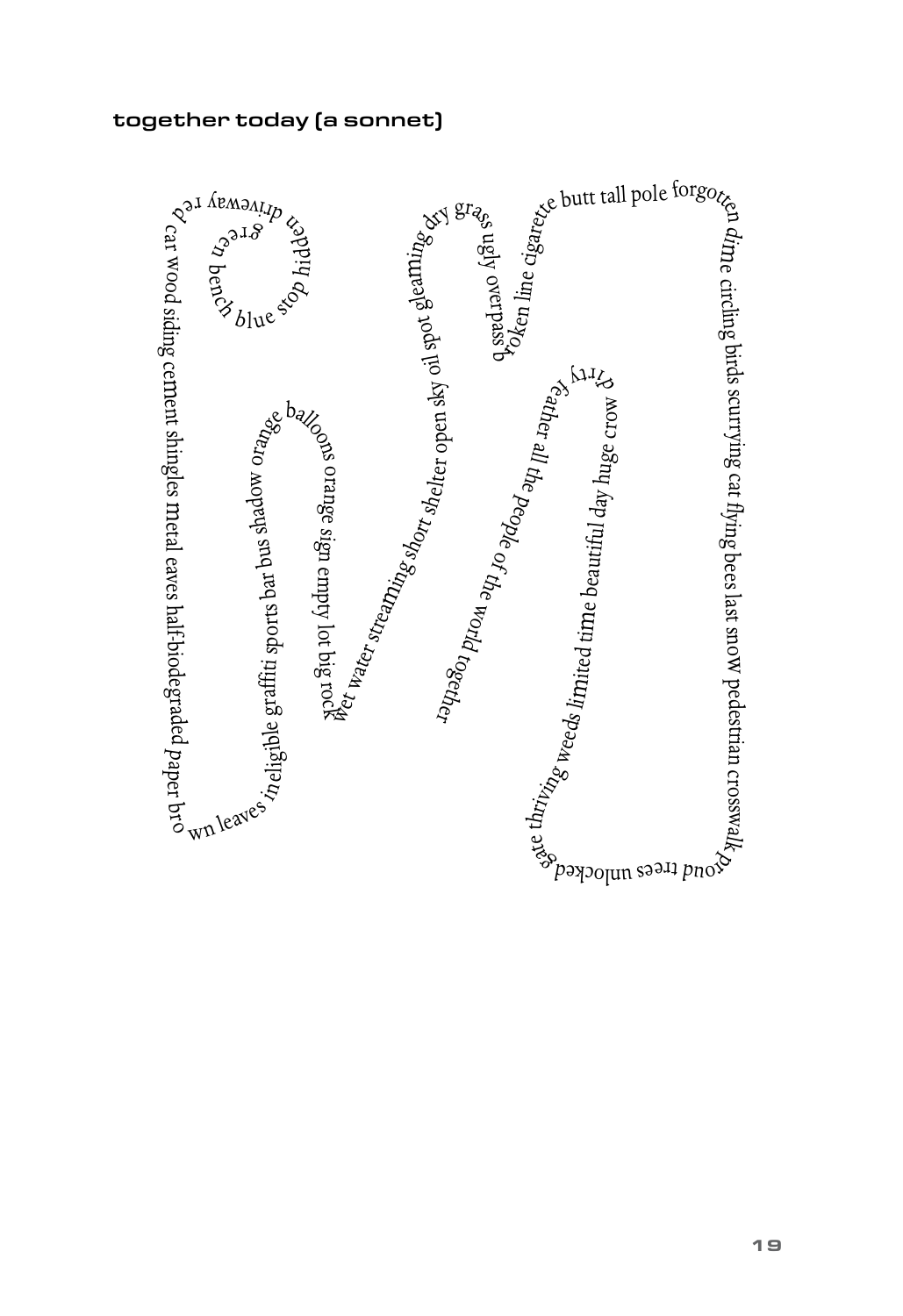#### together today (a sonnet)

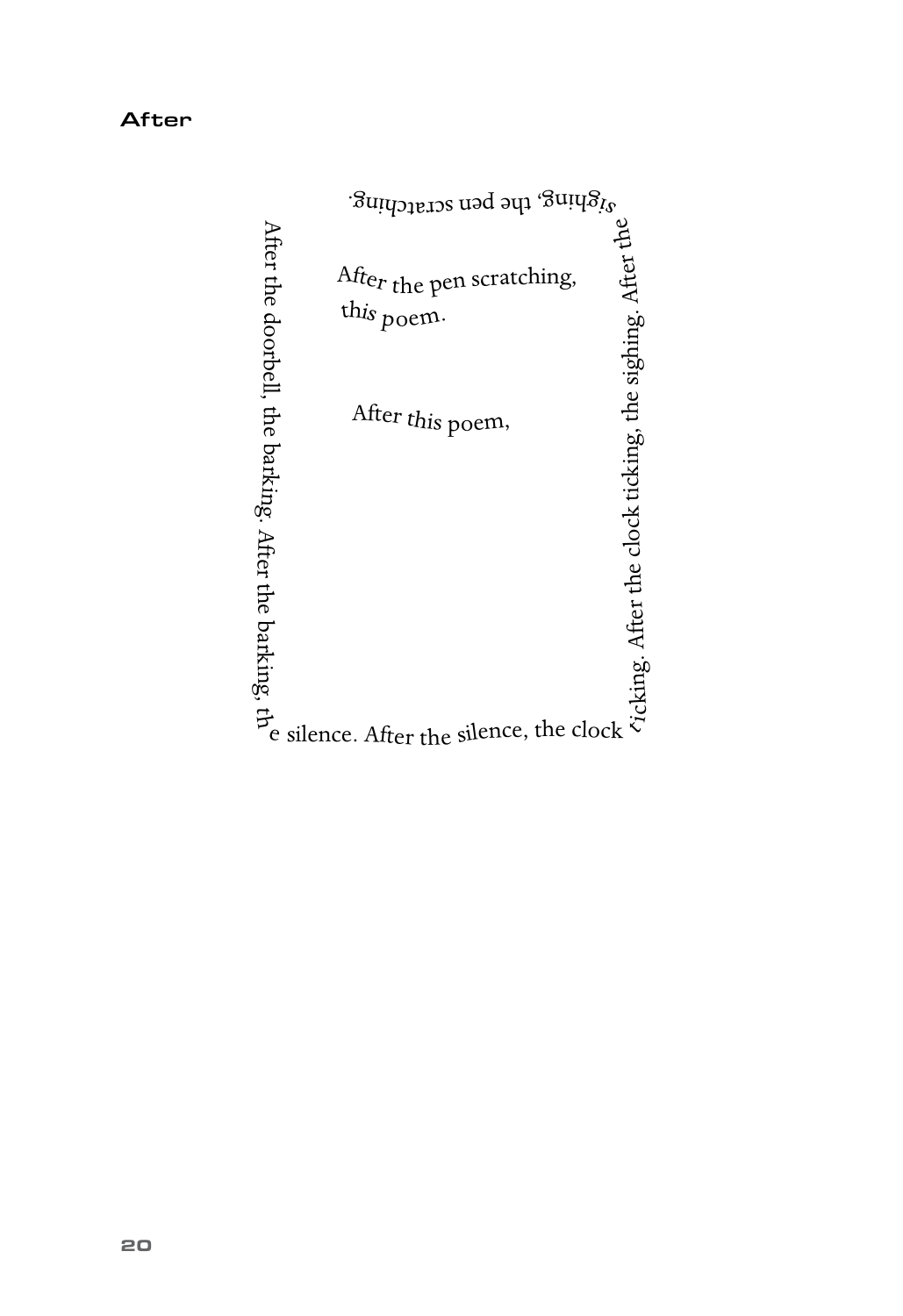|                                                        | <sup>3</sup> righing, the pen scratching.           |                                                          |
|--------------------------------------------------------|-----------------------------------------------------|----------------------------------------------------------|
|                                                        | Afte <sub>r the</sub> pen scratching,<br>this poem. |                                                          |
|                                                        | After this poem,                                    |                                                          |
| After the doorbell, the barking. After the barking, th |                                                     | Vicking. After the clock ticking, the sighing. After the |
|                                                        | silence. After the silence, the clock               |                                                          |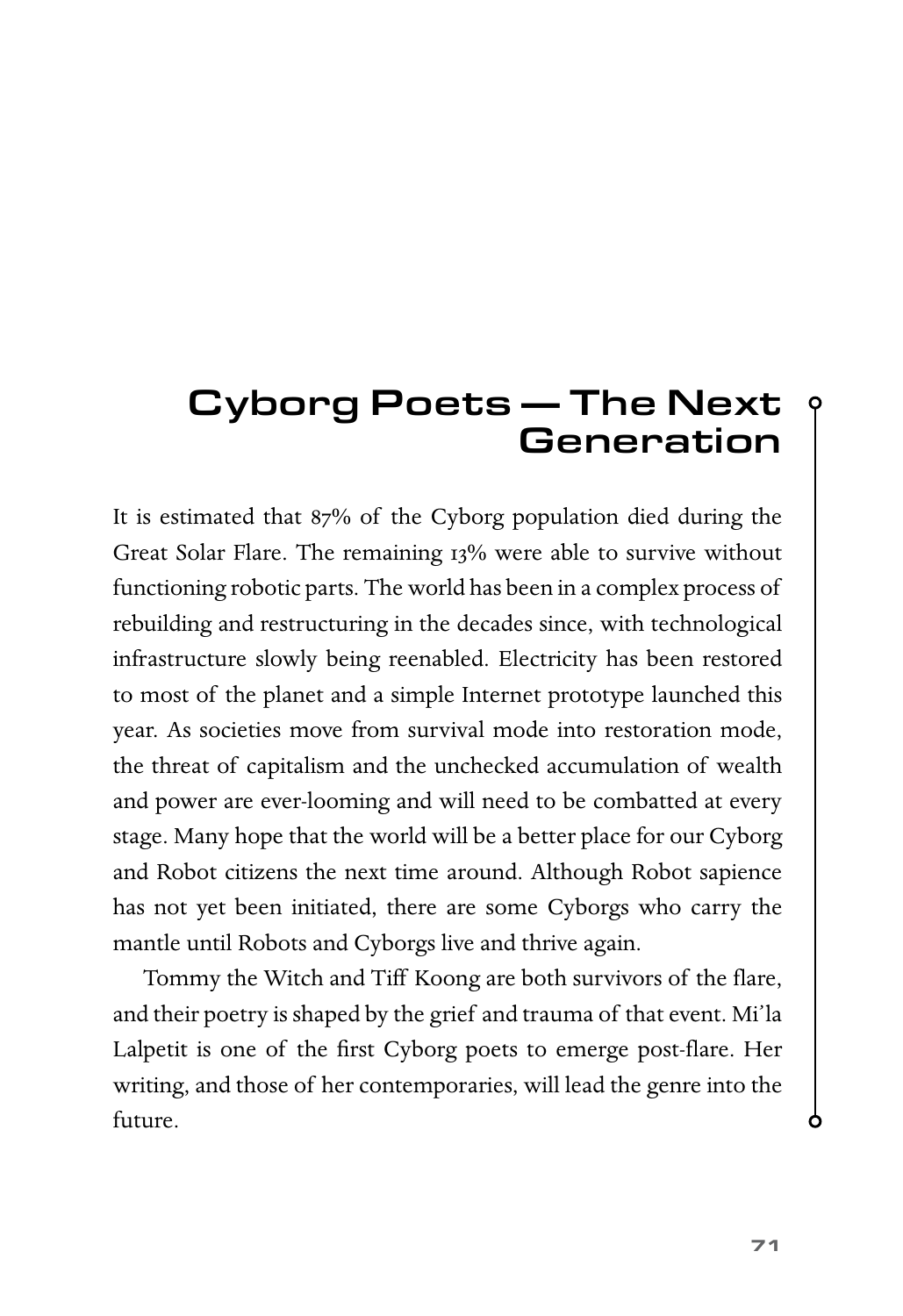## Cyborg Poets — The Next **Generation**

It is estimated that 87% of the Cyborg population died during the Great Solar Flare. The remaining 13% were able to survive without functioning robotic parts. The world has been in a complex process of rebuilding and restructuring in the decades since, with technological infrastructure slowly being reenabled. Electricity has been restored to most of the planet and a simple Internet prototype launched this year. As societies move from survival mode into restoration mode, the threat of capitalism and the unchecked accumulation of wealth and power are ever-looming and will need to be combatted at every stage. Many hope that the world will be a better place for our Cyborg and Robot citizens the next time around. Although Robot sapience has not yet been initiated, there are some Cyborgs who carry the mantle until Robots and Cyborgs live and thrive again.

Tommy the Witch and Tiff Koong are both survivors of the flare, and their poetry is shaped by the grief and trauma of that event. Mi'la Lalpetit is one of the first Cyborg poets to emerge post-flare. Her writing, and those of her contemporaries, will lead the genre into the future.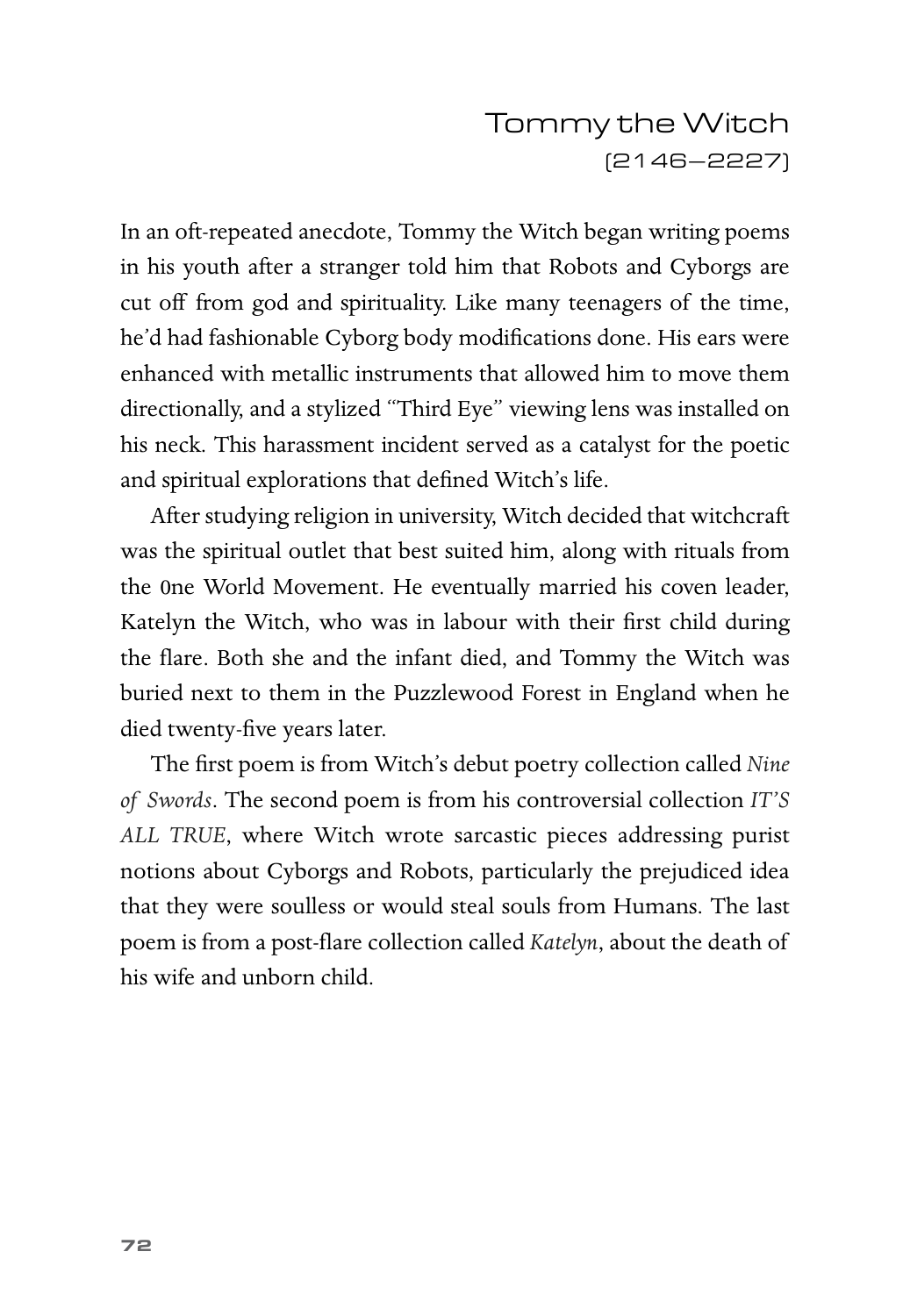## Tommy the Witch (2146–2227)

In an oft-repeated anecdote, Tommy the Witch began writing poems in his youth after a stranger told him that Robots and Cyborgs are cut off from god and spirituality. Like many teenagers of the time, he'd had fashionable Cyborg body modifications done. His ears were enhanced with metallic instruments that allowed him to move them directionally, and a stylized "Third Eye" viewing lens was installed on his neck. This harassment incident served as a catalyst for the poetic and spiritual explorations that defined Witch's life.

After studying religion in university, Witch decided that witchcraft was the spiritual outlet that best suited him, along with rituals from the 0ne World Movement. He eventually married his coven leader, Katelyn the Witch, who was in labour with their first child during the flare. Both she and the infant died, and Tommy the Witch was buried next to them in the Puzzlewood Forest in England when he died twenty-five years later.

The first poem is from Witch's debut poetry collection called *Nine of Swords*. The second poem is from his controversial collection *IT'S ALL TRUE*, where Witch wrote sarcastic pieces addressing purist notions about Cyborgs and Robots, particularly the prejudiced idea that they were soulless or would steal souls from Humans. The last poem is from a post-flare collection called *Katelyn*, about the death of his wife and unborn child.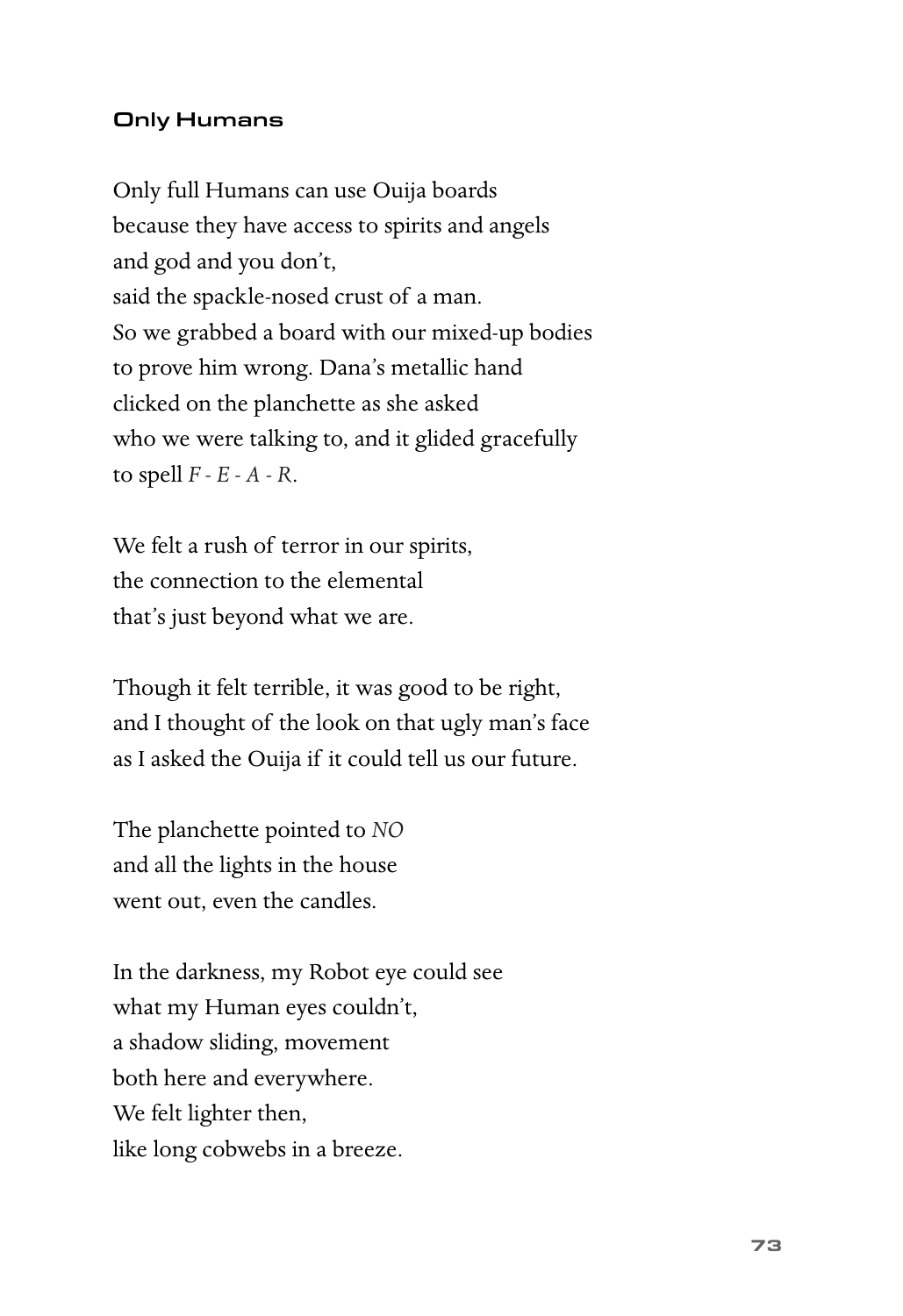#### Only Humans

Only full Humans can use Ouija boards because they have access to spirits and angels and god and you don't, said the spackle-nosed crust of a man. So we grabbed a board with our mixed-up bodies to prove him wrong. Dana's metallic hand clicked on the planchette as she asked who we were talking to, and it glided gracefully to spell *F - E - A - R*.

We felt a rush of terror in our spirits, the connection to the elemental that's just beyond what we are.

Though it felt terrible, it was good to be right, and I thought of the look on that ugly man's face as I asked the Ouija if it could tell us our future.

The planchette pointed to *NO* and all the lights in the house went out, even the candles.

In the darkness, my Robot eye could see what my Human eyes couldn't, a shadow sliding, movement both here and everywhere. We felt lighter then, like long cobwebs in a breeze.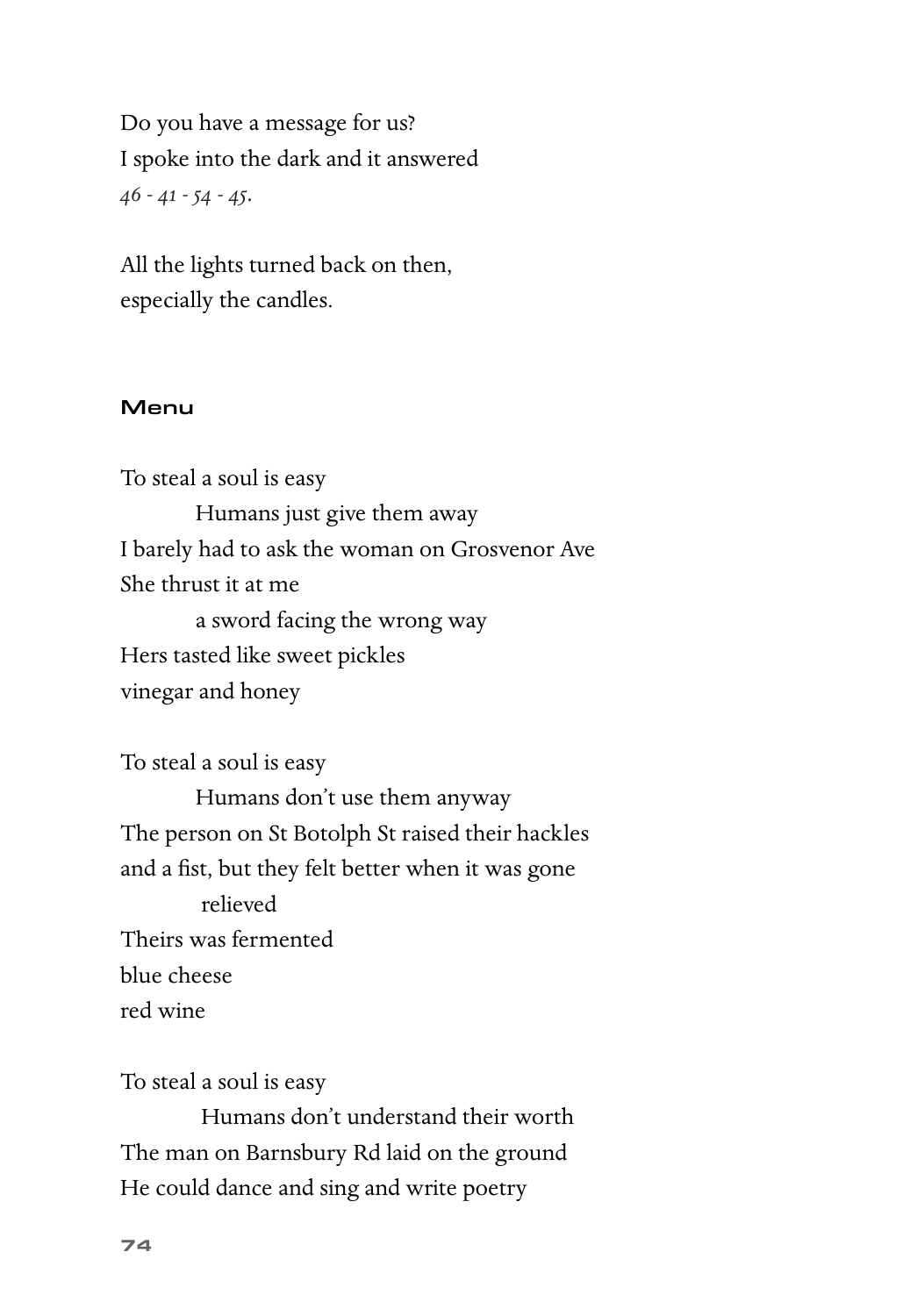Do you have a message for us? I spoke into the dark and it answered *46 - 41 - 54 - 45.*

All the lights turned back on then, especially the candles.

#### Menu

To steal a soul is easy Humans just give them away I barely had to ask the woman on Grosvenor Ave She thrust it at me a sword facing the wrong way Hers tasted like sweet pickles

vinegar and honey

To steal a soul is easy

Humans don't use them anyway The person on St Botolph St raised their hackles and a fist, but they felt better when it was gone relieved Theirs was fermented blue cheese red wine

To steal a soul is easy

Humans don't understand their worth The man on Barnsbury Rd laid on the ground He could dance and sing and write poetry